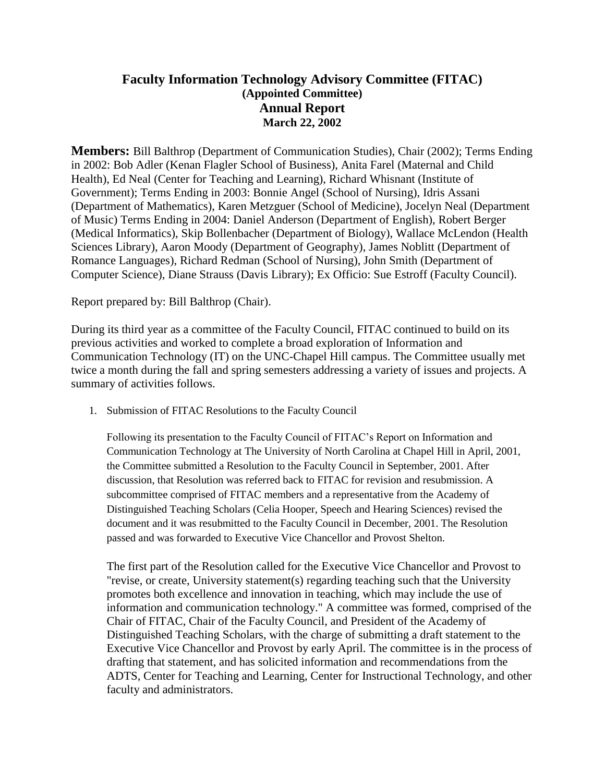## **Faculty Information Technology Advisory Committee (FITAC) (Appointed Committee) Annual Report March 22, 2002**

**Members:** Bill Balthrop (Department of Communication Studies), Chair (2002); Terms Ending in 2002: Bob Adler (Kenan Flagler School of Business), Anita Farel (Maternal and Child Health), Ed Neal (Center for Teaching and Learning), Richard Whisnant (Institute of Government); Terms Ending in 2003: Bonnie Angel (School of Nursing), Idris Assani (Department of Mathematics), Karen Metzguer (School of Medicine), Jocelyn Neal (Department of Music) Terms Ending in 2004: Daniel Anderson (Department of English), Robert Berger (Medical Informatics), Skip Bollenbacher (Department of Biology), Wallace McLendon (Health Sciences Library), Aaron Moody (Department of Geography), James Noblitt (Department of Romance Languages), Richard Redman (School of Nursing), John Smith (Department of Computer Science), Diane Strauss (Davis Library); Ex Officio: Sue Estroff (Faculty Council).

Report prepared by: Bill Balthrop (Chair).

During its third year as a committee of the Faculty Council, FITAC continued to build on its previous activities and worked to complete a broad exploration of Information and Communication Technology (IT) on the UNC-Chapel Hill campus. The Committee usually met twice a month during the fall and spring semesters addressing a variety of issues and projects. A summary of activities follows.

1. Submission of FITAC Resolutions to the Faculty Council

Following its presentation to the Faculty Council of FITAC's Report on Information and Communication Technology at The University of North Carolina at Chapel Hill in April, 2001, the Committee submitted a Resolution to the Faculty Council in September, 2001. After discussion, that Resolution was referred back to FITAC for revision and resubmission. A subcommittee comprised of FITAC members and a representative from the Academy of Distinguished Teaching Scholars (Celia Hooper, Speech and Hearing Sciences) revised the document and it was resubmitted to the Faculty Council in December, 2001. The Resolution passed and was forwarded to Executive Vice Chancellor and Provost Shelton.

The first part of the Resolution called for the Executive Vice Chancellor and Provost to "revise, or create, University statement(s) regarding teaching such that the University promotes both excellence and innovation in teaching, which may include the use of information and communication technology." A committee was formed, comprised of the Chair of FITAC, Chair of the Faculty Council, and President of the Academy of Distinguished Teaching Scholars, with the charge of submitting a draft statement to the Executive Vice Chancellor and Provost by early April. The committee is in the process of drafting that statement, and has solicited information and recommendations from the ADTS, Center for Teaching and Learning, Center for Instructional Technology, and other faculty and administrators.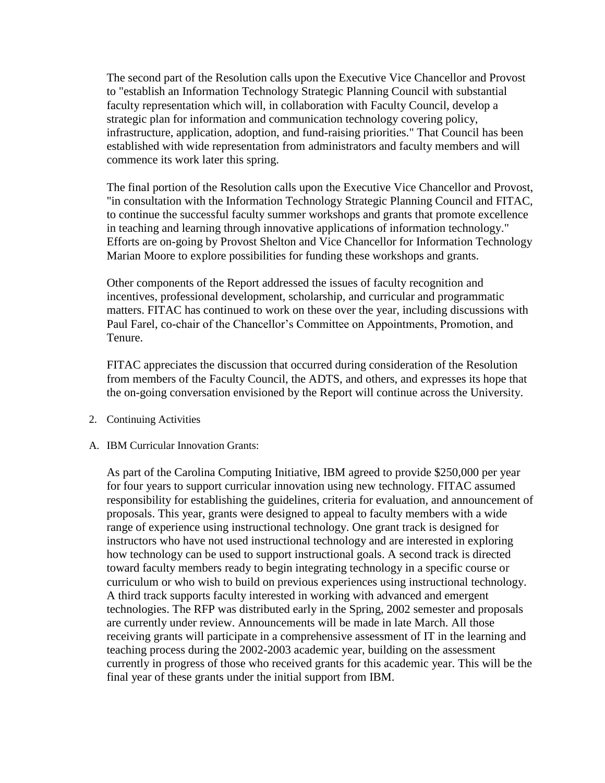The second part of the Resolution calls upon the Executive Vice Chancellor and Provost to "establish an Information Technology Strategic Planning Council with substantial faculty representation which will, in collaboration with Faculty Council, develop a strategic plan for information and communication technology covering policy, infrastructure, application, adoption, and fund-raising priorities." That Council has been established with wide representation from administrators and faculty members and will commence its work later this spring.

The final portion of the Resolution calls upon the Executive Vice Chancellor and Provost, "in consultation with the Information Technology Strategic Planning Council and FITAC, to continue the successful faculty summer workshops and grants that promote excellence in teaching and learning through innovative applications of information technology." Efforts are on-going by Provost Shelton and Vice Chancellor for Information Technology Marian Moore to explore possibilities for funding these workshops and grants.

Other components of the Report addressed the issues of faculty recognition and incentives, professional development, scholarship, and curricular and programmatic matters. FITAC has continued to work on these over the year, including discussions with Paul Farel, co-chair of the Chancellor's Committee on Appointments, Promotion, and Tenure.

FITAC appreciates the discussion that occurred during consideration of the Resolution from members of the Faculty Council, the ADTS, and others, and expresses its hope that the on-going conversation envisioned by the Report will continue across the University.

- 2. Continuing Activities
- A. IBM Curricular Innovation Grants:

As part of the Carolina Computing Initiative, IBM agreed to provide \$250,000 per year for four years to support curricular innovation using new technology. FITAC assumed responsibility for establishing the guidelines, criteria for evaluation, and announcement of proposals. This year, grants were designed to appeal to faculty members with a wide range of experience using instructional technology. One grant track is designed for instructors who have not used instructional technology and are interested in exploring how technology can be used to support instructional goals. A second track is directed toward faculty members ready to begin integrating technology in a specific course or curriculum or who wish to build on previous experiences using instructional technology. A third track supports faculty interested in working with advanced and emergent technologies. The RFP was distributed early in the Spring, 2002 semester and proposals are currently under review. Announcements will be made in late March. All those receiving grants will participate in a comprehensive assessment of IT in the learning and teaching process during the 2002-2003 academic year, building on the assessment currently in progress of those who received grants for this academic year. This will be the final year of these grants under the initial support from IBM.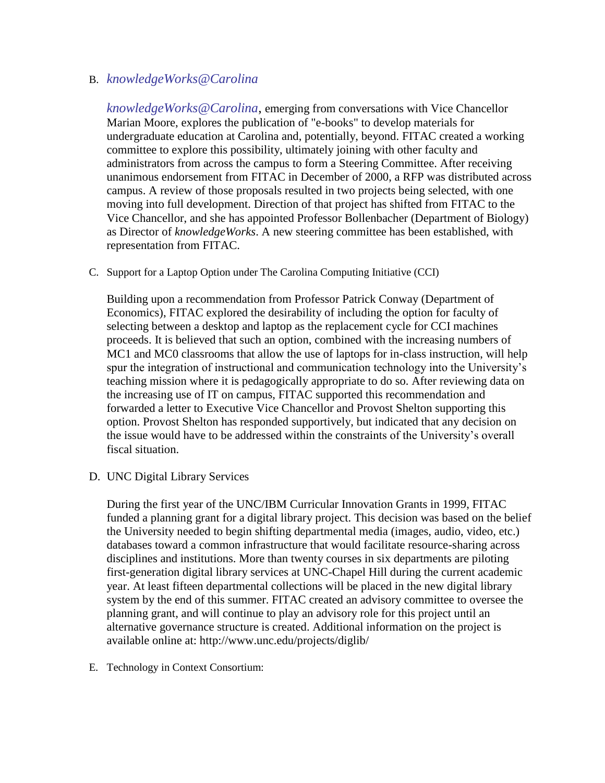## B. *[knowledgeWorks@Carolina](mailto:knowledgeWorks@Carolina)*

*[knowledgeWorks@Carolina](mailto:knowledgeWorks@Carolina)*, emerging from conversations with Vice Chancellor Marian Moore, explores the publication of "e-books" to develop materials for undergraduate education at Carolina and, potentially, beyond. FITAC created a working committee to explore this possibility, ultimately joining with other faculty and administrators from across the campus to form a Steering Committee. After receiving unanimous endorsement from FITAC in December of 2000, a RFP was distributed across campus. A review of those proposals resulted in two projects being selected, with one moving into full development. Direction of that project has shifted from FITAC to the Vice Chancellor, and she has appointed Professor Bollenbacher (Department of Biology) as Director of *knowledgeWorks*. A new steering committee has been established, with representation from FITAC.

C. Support for a Laptop Option under The Carolina Computing Initiative (CCI)

Building upon a recommendation from Professor Patrick Conway (Department of Economics), FITAC explored the desirability of including the option for faculty of selecting between a desktop and laptop as the replacement cycle for CCI machines proceeds. It is believed that such an option, combined with the increasing numbers of MC1 and MC0 classrooms that allow the use of laptops for in-class instruction, will help spur the integration of instructional and communication technology into the University's teaching mission where it is pedagogically appropriate to do so. After reviewing data on the increasing use of IT on campus, FITAC supported this recommendation and forwarded a letter to Executive Vice Chancellor and Provost Shelton supporting this option. Provost Shelton has responded supportively, but indicated that any decision on the issue would have to be addressed within the constraints of the University's overall fiscal situation.

D. UNC Digital Library Services

During the first year of the UNC/IBM Curricular Innovation Grants in 1999, FITAC funded a planning grant for a digital library project. This decision was based on the belief the University needed to begin shifting departmental media (images, audio, video, etc.) databases toward a common infrastructure that would facilitate resource-sharing across disciplines and institutions. More than twenty courses in six departments are piloting first-generation digital library services at UNC-Chapel Hill during the current academic year. At least fifteen departmental collections will be placed in the new digital library system by the end of this summer. FITAC created an advisory committee to oversee the planning grant, and will continue to play an advisory role for this project until an alternative governance structure is created. Additional information on the project is available online at: http://www.unc.edu/projects/diglib/

E. Technology in Context Consortium: